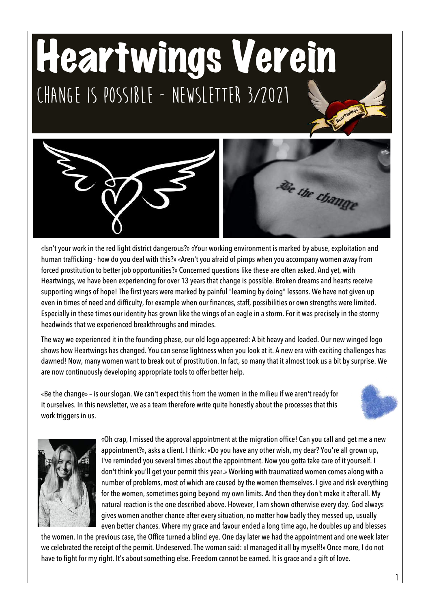## Heartwings Verein **Change is possible - Newsletter 3/2021**



«Isn't your work in the red light district dangerous?» «Your working environment is marked by abuse, exploitation and human trafficking - how do you deal with this?» «Aren't you afraid of pimps when you accompany women away from forced prostitution to better job opportunities?» Concerned questions like these are often asked. And yet, with Heartwings, we have been experiencing for over 13 years that change is possible. Broken dreams and hearts receive supporting wings of hope! The first years were marked by painful "learning by doing" lessons. We have not given up even in times of need and difficulty, for example when our finances, staff, possibilities or own strengths were limited. Especially in these times our identity has grown like the wings of an eagle in a storm. For it was precisely in the stormy headwinds that we experienced breakthroughs and miracles.

The way we experienced it in the founding phase, our old logo appeared: A bit heavy and loaded. Our new winged logo shows how Heartwings has changed. You can sense lightness when you look at it. A new era with exciting challenges has dawned! Now, many women want to break out of prostitution. In fact, so many that it almost took us a bit by surprise. We are now continuously developing appropriate tools to offer better help.

«Be the change» – is our slogan. We can't expect this from the women in the milieu if we aren't ready for it ourselves. In this newsletter, we as a team therefore write quite honestly about the processes that this work triggers in us.





«Oh crap, I missed the approval appointment at the migration office! Can you call and get me a new appointment?», asks a client. I think: «Do you have any other wish, my dear? You're all grown up, I've reminded you several times about the appointment. Now you gotta take care of it yourself. I don't think you'll get your permit this year.» Working with traumatized women comes along with a number of problems, most of which are caused by the women themselves. I give and risk everything for the women, sometimes going beyond my own limits. And then they don't make it after all. My natural reaction is the one described above. However, I am shown otherwise every day. God always gives women another chance after every situation, no matter how badly they messed up, usually even better chances. Where my grace and favour ended a long time ago, he doubles up and blesses

the women. In the previous case, the Office turned a blind eye. One day later we had the appointment and one week later we celebrated the receipt of the permit. Undeserved. The woman said: «I managed it all by myself!» Once more, I do not have to fight for my right. It's about something else. Freedom cannot be earned. It is grace and a gift of love.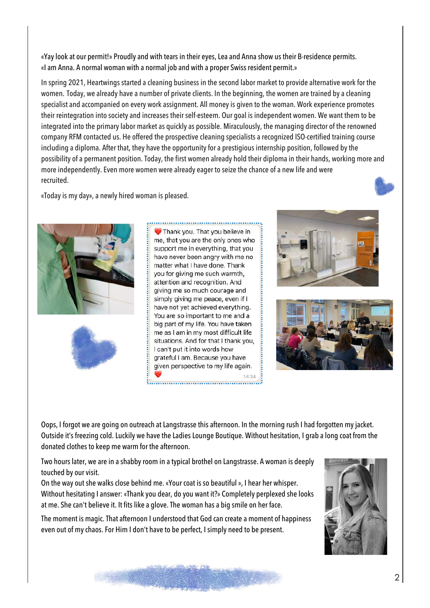«Yay look at our permit!» Proudly and with tears in their eyes, Lea and Anna show us their B-residence permits. «I am Anna. A normal woman with a normal job and with a proper Swiss resident permit.»

In spring 2021, Heartwings started a cleaning business in the second labor market to provide alternative work for the women. Today, we already have a number of private clients. In the beginning, the women are trained by a cleaning specialist and accompanied on every work assignment. All money is given to the woman. Work experience promotes their reintegration into society and increases their self-esteem. Our goal is independent women. We want them to be integrated into the primary labor market as quickly as possible. Miraculously, the managing director of the renowned company RFM contacted us. He offered the prospective cleaning specialists a recognized ISO-certified training course including a diploma. After that, they have the opportunity for a prestigious internship position, followed by the possibility of a permanent position. Today, the first women already hold their diploma in their hands, working more and more independently. Even more women were already eager to seize the chance of a new life and were recruited.

«Today is my day», a newly hired woman is pleased.



Thank you. That you believe in me, that you are the only ones who support me in everything, that you have never been angry with me no matter what I have done. Thank vou for giving me such warmth. attention and recognition. And giving me so much courage and simply giving me peace, even if I have not yet achieved everything. You are so important to me and a big part of my life. You have taken me as I am in my most difficult life situations. And for that I thank you, I can't put it into words how grateful I am. Because you have given perspective to my life again. 14:34





Oops, I forgot we are going on outreach at Langstrasse this afternoon. In the morning rush I had forgotten my jacket. Outside it's freezing cold. Luckily we have the Ladies Lounge Boutique. Without hesitation, I grab a long coat from the donated clothes to keep me warm for the afternoon.

Two hours later, we are in a shabby room in a typical brothel on Langstrasse. A woman is deeply touched by our visit.

On the way out she walks close behind me. «Your coat is so beautiful », I hear her whisper. Without hesitating I answer: «Thank you dear, do you want it?» Completely perplexed she looks at me. She can't believe it. It fits like a glove. The woman has a big smile on her face.

The moment is magic. That afternoon I understood that God can create a moment of happiness even out of my chaos. For Him I don't have to be perfect, I simply need to be present.



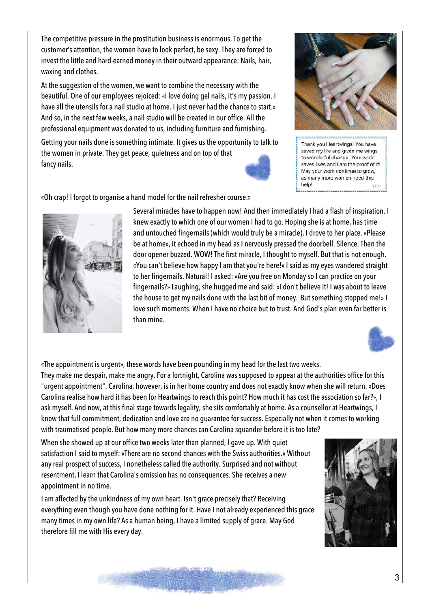The competitive pressure in the prostitution business is enormous. To get the customer's attention, the women have to look perfect, be sexy. They are forced to invest the little and hard-earned money in their outward appearance: Nails, hair, waxing and clothes.

At the suggestion of the women, we want to combine the necessary with the beautiful. One of our employees rejoiced: «I love doing gel nails, it's my passion. I have all the utensils for a nail studio at home. I just never had the chance to start.» And so, in the next few weeks, a nail studio will be created in our office. All the professional equipment was donated to us, including furniture and furnishing.

Getting your nails done is something intimate. It gives us the opportunity to talk to the women in private. They get peace, quietness and on top of that fancy nails.



saved my life and given me wings to wonderful change. Your work saves lives and I am the proof of it! May your work continue to grow, as many more women need this help!

«Oh crap! I forgot to organise a hand model for the nail refresher course.»





«The appointment is urgent», these words have been pounding in my head for the last two weeks.

They make me despair, make me angry. For a fortnight, Carolina was supposed to appear at the authorities office for this "urgent appointment". Carolina, however, is in her home country and does not exactly know when she will return. «Does Carolina realise how hard it has been for Heartwings to reach this point? How much it has cost the association so far?», I ask myself. And now, at this final stage towards legality, she sits comfortably at home. As a counsellor at Heartwings, I know that full commitment, dedication and love are no guarantee for success. Especially not when it comes to working with traumatised people. But how many more chances can Carolina squander before it is too late?

When she showed up at our office two weeks later than planned, I gave up. With quiet satisfaction I said to myself: «There are no second chances with the Swiss authorities.» Without any real prospect of success, I nonetheless called the authority. Surprised and not without resentment, I learn that Carolina's omission has no consequences. She receives a new appointment in no time.

I am affected by the unkindness of my own heart. Isn't grace precisely that? Receiving everything even though you have done nothing for it. Have I not already experienced this grace many times in my own life? As a human being, I have a limited supply of grace. May God therefore fill me with His every day.